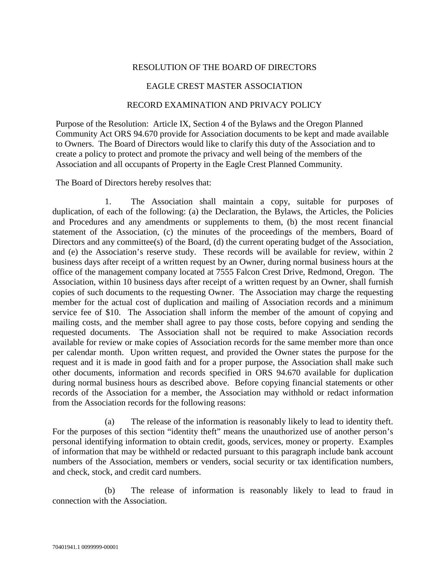## RESOLUTION OF THE BOARD OF DIRECTORS

## EAGLE CREST MASTER ASSOCIATION

## RECORD EXAMINATION AND PRIVACY POLICY

Purpose of the Resolution: Article IX, Section 4 of the Bylaws and the Oregon Planned Community Act ORS 94.670 provide for Association documents to be kept and made available to Owners. The Board of Directors would like to clarify this duty of the Association and to create a policy to protect and promote the privacy and well being of the members of the Association and all occupants of Property in the Eagle Crest Planned Community.

The Board of Directors hereby resolves that:

1. The Association shall maintain a copy, suitable for purposes of duplication, of each of the following: (a) the Declaration, the Bylaws, the Articles, the Policies and Procedures and any amendments or supplements to them, (b) the most recent financial statement of the Association, (c) the minutes of the proceedings of the members, Board of Directors and any committee(s) of the Board, (d) the current operating budget of the Association, and (e) the Association's reserve study. These records will be available for review, within 2 business days after receipt of a written request by an Owner, during normal business hours at the office of the management company located at 7555 Falcon Crest Drive, Redmond, Oregon. The Association, within 10 business days after receipt of a written request by an Owner, shall furnish copies of such documents to the requesting Owner. The Association may charge the requesting member for the actual cost of duplication and mailing of Association records and a minimum service fee of \$10. The Association shall inform the member of the amount of copying and mailing costs, and the member shall agree to pay those costs, before copying and sending the requested documents. The Association shall not be required to make Association records available for review or make copies of Association records for the same member more than once per calendar month. Upon written request, and provided the Owner states the purpose for the request and it is made in good faith and for a proper purpose, the Association shall make such other documents, information and records specified in ORS 94.670 available for duplication during normal business hours as described above. Before copying financial statements or other records of the Association for a member, the Association may withhold or redact information from the Association records for the following reasons:

(a) The release of the information is reasonably likely to lead to identity theft. For the purposes of this section "identity theft" means the unauthorized use of another person's personal identifying information to obtain credit, goods, services, money or property. Examples of information that may be withheld or redacted pursuant to this paragraph include bank account numbers of the Association, members or venders, social security or tax identification numbers, and check, stock, and credit card numbers.

(b) The release of information is reasonably likely to lead to fraud in connection with the Association.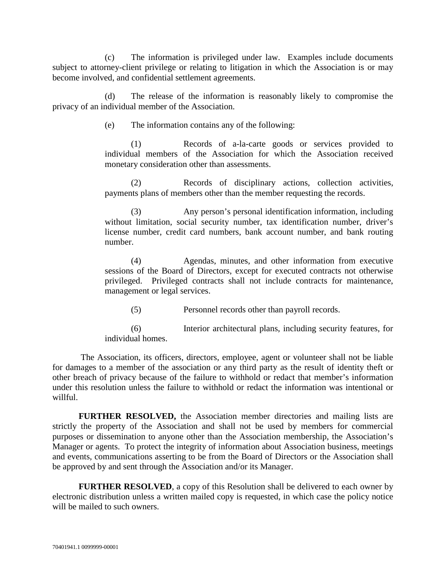(c) The information is privileged under law. Examples include documents subject to attorney-client privilege or relating to litigation in which the Association is or may become involved, and confidential settlement agreements.

(d) The release of the information is reasonably likely to compromise the privacy of an individual member of the Association.

(e) The information contains any of the following:

(1) Records of a-la-carte goods or services provided to individual members of the Association for which the Association received monetary consideration other than assessments.

(2) Records of disciplinary actions, collection activities, payments plans of members other than the member requesting the records.

Any person's personal identification information, including without limitation, social security number, tax identification number, driver's license number, credit card numbers, bank account number, and bank routing number.

(4) Agendas, minutes, and other information from executive sessions of the Board of Directors, except for executed contracts not otherwise privileged. Privileged contracts shall not include contracts for maintenance, management or legal services.

(5) Personnel records other than payroll records.

(6) Interior architectural plans, including security features, for individual homes.

The Association, its officers, directors, employee, agent or volunteer shall not be liable for damages to a member of the association or any third party as the result of identity theft or other breach of privacy because of the failure to withhold or redact that member's information under this resolution unless the failure to withhold or redact the information was intentional or willful.

**FURTHER RESOLVED,** the Association member directories and mailing lists are strictly the property of the Association and shall not be used by members for commercial purposes or dissemination to anyone other than the Association membership, the Association's Manager or agents. To protect the integrity of information about Association business, meetings and events, communications asserting to be from the Board of Directors or the Association shall be approved by and sent through the Association and/or its Manager.

**FURTHER RESOLVED**, a copy of this Resolution shall be delivered to each owner by electronic distribution unless a written mailed copy is requested, in which case the policy notice will be mailed to such owners.